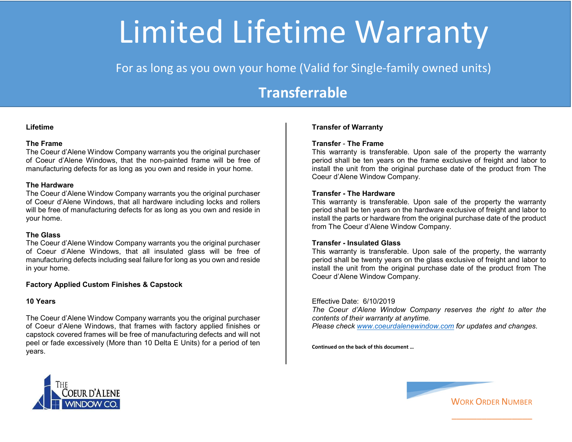# Limited Lifetime Warranty

For as long as you own your home (Valid for Single-family owned units)

# **Transferrable**

## Lifetime

### The Frame

The Coeur d'Alene Window Company warrants you the original purchaser of Coeur d'Alene Windows, that the non-painted frame will be free of manufacturing defects for as long as you own and reside in your home.

### The Hardware

The Coeur d'Alene Window Company warrants you the original purchaser of Coeur d'Alene Windows, that all hardware including locks and rollers will be free of manufacturing defects for as long as you own and reside in your home.

### The Glass

The Coeur d'Alene Window Company warrants you the original purchaser of Coeur d'Alene Windows, that all insulated glass will be free of manufacturing defects including seal failure for long as you own and reside in your home.

## Factory Applied Custom Finishes & Capstock

### 10 Years

The Coeur d'Alene Window Company warrants you the original purchaser of Coeur d'Alene Windows, that frames with factory applied finishes or capstock covered frames will be free of manufacturing defects and will not peel or fade excessively (More than 10 Delta E Units) for a period of ten years.

### Transfer of Warranty

## Transfer - The Frame

This warranty is transferable. Upon sale of the property the warranty period shall be ten years on the frame exclusive of freight and labor to install the unit from the original purchase date of the product from The Coeur d'Alene Window Company.

### Transfer - The Hardware

This warranty is transferable. Upon sale of the property the warranty period shall be ten years on the hardware exclusive of freight and labor to install the parts or hardware from the original purchase date of the product from The Coeur d'Alene Window Company.

### Transfer - Insulated Glass

This warranty is transferable. Upon sale of the property, the warranty period shall be twenty years on the glass exclusive of freight and labor to install the unit from the original purchase date of the product from The Coeur d'Alene Window Company.

### Effective Date: 6/10/2019

The Coeur d'Alene Window Company reserves the right to alter the contents of their warranty at anytime. Please check www.coeurdalenewindow.com for updates and changes.

Continued on the back of this document …